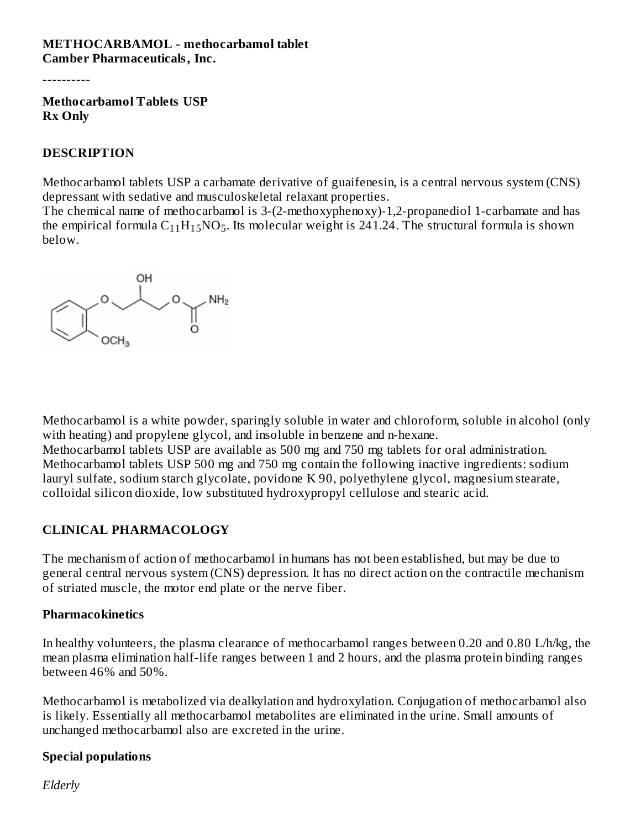#### **METHOCARBAMOL - methocarbamol tablet Camber Pharmaceuticals, Inc.**

----------

**Methocarbamol Tablets USP Rx Only**

#### **DESCRIPTION**

Methocarbamol tablets USP a carbamate derivative of guaifenesin, is a central nervous system (CNS) depressant with sedative and musculoskeletal relaxant properties.

The chemical name of methocarbamol is 3-(2-methoxyphenoxy)-1,2-propanediol 1-carbamate and has the empirical formula  $\rm{C_{11}H_{15}NO_5}$ . Its molecular weight is 241.24. The structural formula is shown below.



Methocarbamol is a white powder, sparingly soluble in water and chloroform, soluble in alcohol (only with heating) and propylene glycol, and insoluble in benzene and n-hexane. Methocarbamol tablets USP are available as 500 mg and 750 mg tablets for oral administration. Methocarbamol tablets USP 500 mg and 750 mg contain the following inactive ingredients: sodium lauryl sulfate, sodium starch glycolate, povidone K 90, polyethylene glycol, magnesium stearate, colloidal silicon dioxide, low substituted hydroxypropyl cellulose and stearic acid.

## **CLINICAL PHARMACOLOGY**

The mechanism of action of methocarbamol in humans has not been established, but may be due to general central nervous system (CNS) depression. It has no direct action on the contractile mechanism of striated muscle, the motor end plate or the nerve fiber.

#### **Pharmacokinetics**

In healthy volunteers, the plasma clearance of methocarbamol ranges between 0.20 and 0.80 L/h/kg, the mean plasma elimination half-life ranges between 1 and 2 hours, and the plasma protein binding ranges between 46% and 50%.

Methocarbamol is metabolized via dealkylation and hydroxylation. Conjugation of methocarbamol also is likely. Essentially all methocarbamol metabolites are eliminated in the urine. Small amounts of unchanged methocarbamol also are excreted in the urine.

## **Special populations**

*Elderly*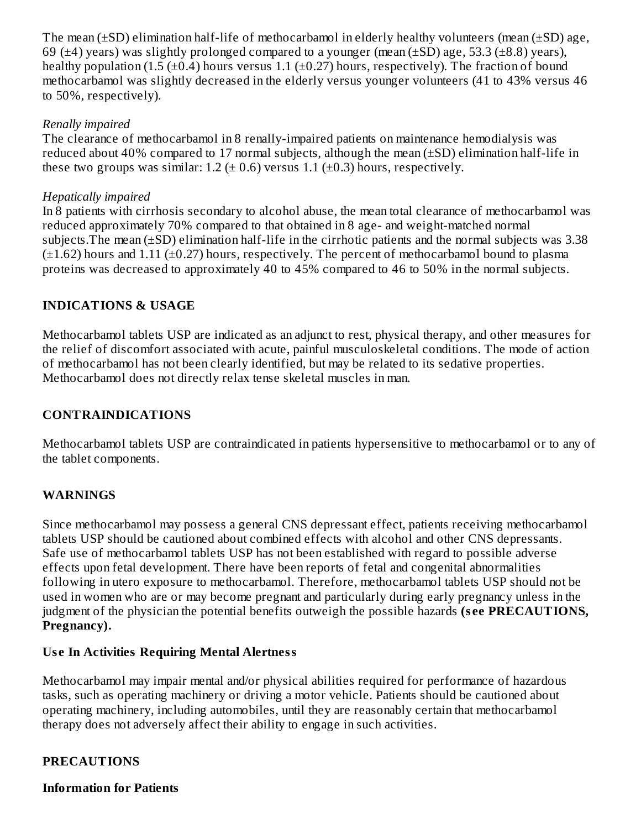The mean  $(\pm SD)$  elimination half-life of methocarbamol in elderly healthy volunteers (mean  $(\pm SD)$  age, 69 ( $\pm$ 4) years) was slightly prolonged compared to a younger (mean ( $\pm$ SD) age, 53.3 ( $\pm$ 8.8) years), healthy population (1.5 ( $\pm$ 0.4) hours versus 1.1 ( $\pm$ 0.27) hours, respectively). The fraction of bound methocarbamol was slightly decreased in the elderly versus younger volunteers (41 to 43% versus 46 to 50%, respectively).

#### *Renally impaired*

The clearance of methocarbamol in 8 renally-impaired patients on maintenance hemodialysis was reduced about 40% compared to 17 normal subjects, although the mean  $(\pm SD)$  elimination half-life in these two groups was similar:  $1.2$  ( $\pm$  0.6) versus 1.1 ( $\pm$ 0.3) hours, respectively.

#### *Hepatically impaired*

In 8 patients with cirrhosis secondary to alcohol abuse, the mean total clearance of methocarbamol was reduced approximately 70% compared to that obtained in 8 age- and weight-matched normal subjects.The mean (±SD) elimination half-life in the cirrhotic patients and the normal subjects was 3.38  $(\pm 1.62)$  hours and 1.11 ( $\pm 0.27$ ) hours, respectively. The percent of methocarbamol bound to plasma proteins was decreased to approximately 40 to 45% compared to 46 to 50% in the normal subjects.

## **INDICATIONS & USAGE**

Methocarbamol tablets USP are indicated as an adjunct to rest, physical therapy, and other measures for the relief of discomfort associated with acute, painful musculoskeletal conditions. The mode of action of methocarbamol has not been clearly identified, but may be related to its sedative properties. Methocarbamol does not directly relax tense skeletal muscles in man.

## **CONTRAINDICATIONS**

Methocarbamol tablets USP are contraindicated in patients hypersensitive to methocarbamol or to any of the tablet components.

## **WARNINGS**

Since methocarbamol may possess a general CNS depressant effect, patients receiving methocarbamol tablets USP should be cautioned about combined effects with alcohol and other CNS depressants. Safe use of methocarbamol tablets USP has not been established with regard to possible adverse effects upon fetal development. There have been reports of fetal and congenital abnormalities following in utero exposure to methocarbamol. Therefore, methocarbamol tablets USP should not be used in women who are or may become pregnant and particularly during early pregnancy unless in the judgment of the physician the potential benefits outweigh the possible hazards **(s ee PRECAUTIONS, Pregnancy).**

## **Us e In Activities Requiring Mental Alertness**

Methocarbamol may impair mental and/or physical abilities required for performance of hazardous tasks, such as operating machinery or driving a motor vehicle. Patients should be cautioned about operating machinery, including automobiles, until they are reasonably certain that methocarbamol therapy does not adversely affect their ability to engage in such activities.

#### **PRECAUTIONS**

**Information for Patients**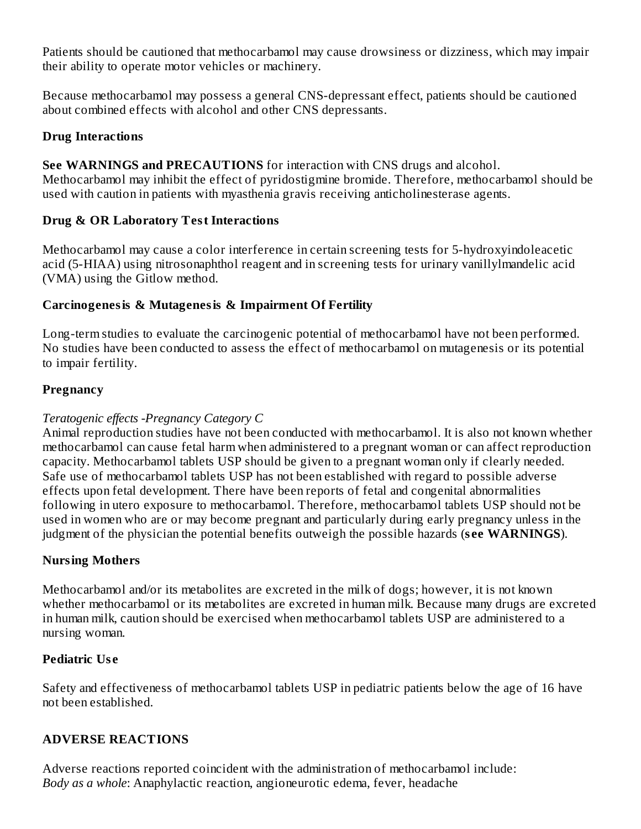Patients should be cautioned that methocarbamol may cause drowsiness or dizziness, which may impair their ability to operate motor vehicles or machinery.

Because methocarbamol may possess a general CNS-depressant effect, patients should be cautioned about combined effects with alcohol and other CNS depressants.

## **Drug Interactions**

## **See WARNINGS and PRECAUTIONS** for interaction with CNS drugs and alcohol.

Methocarbamol may inhibit the effect of pyridostigmine bromide. Therefore, methocarbamol should be used with caution in patients with myasthenia gravis receiving anticholinesterase agents.

## **Drug & OR Laboratory Test Interactions**

Methocarbamol may cause a color interference in certain screening tests for 5-hydroxyindoleacetic acid (5-HIAA) using nitrosonaphthol reagent and in screening tests for urinary vanillylmandelic acid (VMA) using the Gitlow method.

## **Carcinogenesis & Mutagenesis & Impairment Of Fertility**

Long-term studies to evaluate the carcinogenic potential of methocarbamol have not been performed. No studies have been conducted to assess the effect of methocarbamol on mutagenesis or its potential to impair fertility.

## **Pregnancy**

## *Teratogenic effects -Pregnancy Category C*

Animal reproduction studies have not been conducted with methocarbamol. It is also not known whether methocarbamol can cause fetal harm when administered to a pregnant woman or can affect reproduction capacity. Methocarbamol tablets USP should be given to a pregnant woman only if clearly needed. Safe use of methocarbamol tablets USP has not been established with regard to possible adverse effects upon fetal development. There have been reports of fetal and congenital abnormalities following in utero exposure to methocarbamol. Therefore, methocarbamol tablets USP should not be used in women who are or may become pregnant and particularly during early pregnancy unless in the judgment of the physician the potential benefits outweigh the possible hazards (**s ee WARNINGS**).

## **Nursing Mothers**

Methocarbamol and/or its metabolites are excreted in the milk of dogs; however, it is not known whether methocarbamol or its metabolites are excreted in human milk. Because many drugs are excreted in human milk, caution should be exercised when methocarbamol tablets USP are administered to a nursing woman.

## **Pediatric Us e**

Safety and effectiveness of methocarbamol tablets USP in pediatric patients below the age of 16 have not been established.

## **ADVERSE REACTIONS**

Adverse reactions reported coincident with the administration of methocarbamol include: *Body as a whole*: Anaphylactic reaction, angioneurotic edema, fever, headache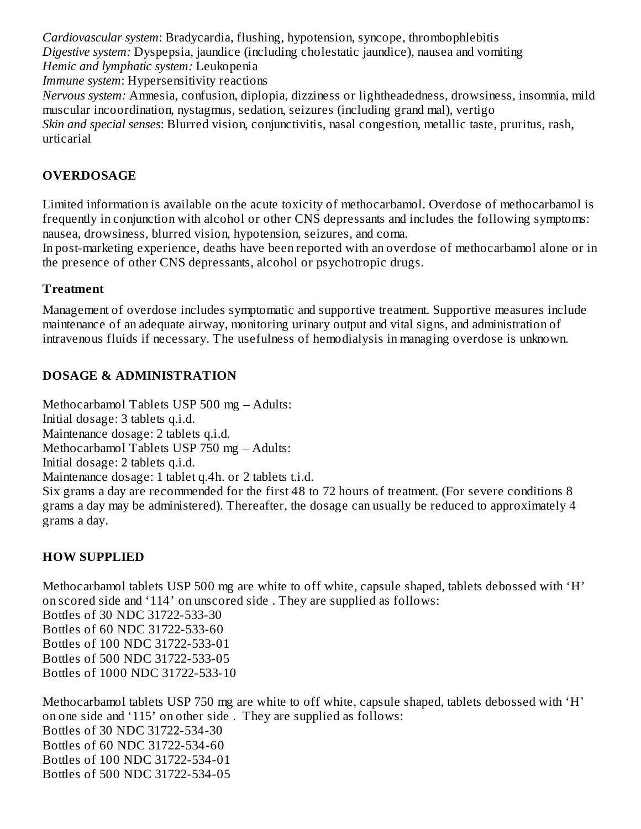*Cardiovascular system*: Bradycardia, flushing, hypotension, syncope, thrombophlebitis *Digestive system:* Dyspepsia, jaundice (including cholestatic jaundice), nausea and vomiting *Hemic and lymphatic system:* Leukopenia

*Immune system*: Hypersensitivity reactions

*Nervous system:* Amnesia, confusion, diplopia, dizziness or lightheadedness, drowsiness, insomnia, mild muscular incoordination, nystagmus, sedation, seizures (including grand mal), vertigo *Skin and special senses*: Blurred vision, conjunctivitis, nasal congestion, metallic taste, pruritus, rash, urticarial

## **OVERDOSAGE**

Limited information is available on the acute toxicity of methocarbamol. Overdose of methocarbamol is frequently in conjunction with alcohol or other CNS depressants and includes the following symptoms: nausea, drowsiness, blurred vision, hypotension, seizures, and coma.

In post-marketing experience, deaths have been reported with an overdose of methocarbamol alone or in the presence of other CNS depressants, alcohol or psychotropic drugs.

#### **Treatment**

Management of overdose includes symptomatic and supportive treatment. Supportive measures include maintenance of an adequate airway, monitoring urinary output and vital signs, and administration of intravenous fluids if necessary. The usefulness of hemodialysis in managing overdose is unknown.

#### **DOSAGE & ADMINISTRATION**

Methocarbamol Tablets USP 500 mg – Adults: Initial dosage: 3 tablets q.i.d. Maintenance dosage: 2 tablets q.i.d. Methocarbamol Tablets USP 750 mg – Adults: Initial dosage: 2 tablets q.i.d. Maintenance dosage: 1 tablet q.4h. or 2 tablets t.i.d. Six grams a day are recommended for the first 48 to 72 hours of treatment. (For severe conditions 8 grams a day may be administered). Thereafter, the dosage can usually be reduced to approximately 4 grams a day.

## **HOW SUPPLIED**

Methocarbamol tablets USP 500 mg are white to off white, capsule shaped, tablets debossed with 'H' on scored side and '114' on unscored side . They are supplied as follows: Bottles of 30 NDC 31722-533-30 Bottles of 60 NDC 31722-533-60 Bottles of 100 NDC 31722-533-01 Bottles of 500 NDC 31722-533-05 Bottles of 1000 NDC 31722-533-10

Methocarbamol tablets USP 750 mg are white to off white, capsule shaped, tablets debossed with 'H' on one side and '115' on other side . They are supplied as follows: Bottles of 30 NDC 31722-534-30 Bottles of 60 NDC 31722-534-60 Bottles of 100 NDC 31722-534-01 Bottles of 500 NDC 31722-534-05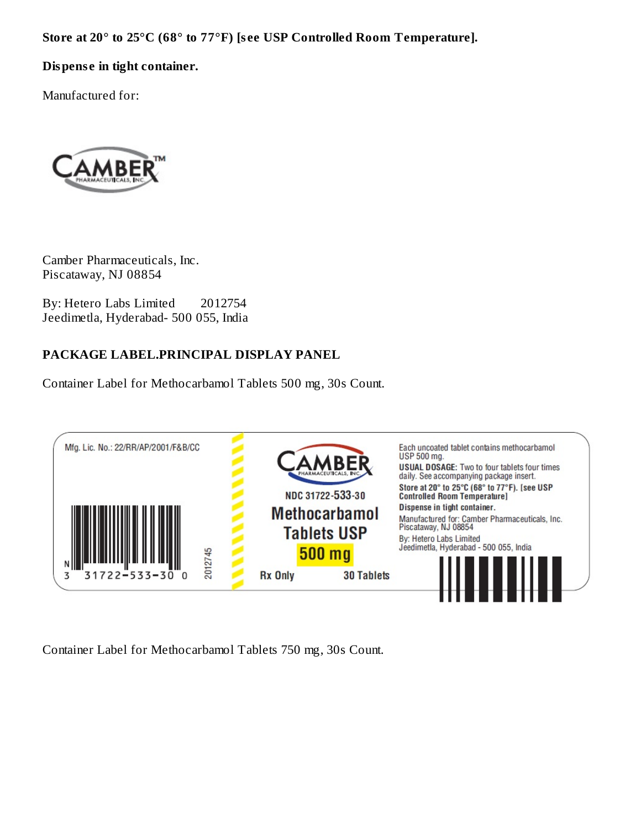**Store at 20° to 25°C (68° to 77°F) [s ee USP Controlled Room Temperature].**

## **Dispens e in tight container.**

Manufactured for:



Camber Pharmaceuticals, Inc. Piscataway, NJ 08854

By: Hetero Labs Limited 2012754 Jeedimetla, Hyderabad- 500 055, India

## **PACKAGE LABEL.PRINCIPAL DISPLAY PANEL**

Container Label for Methocarbamol Tablets 500 mg, 30s Count.



Container Label for Methocarbamol Tablets 750 mg, 30s Count.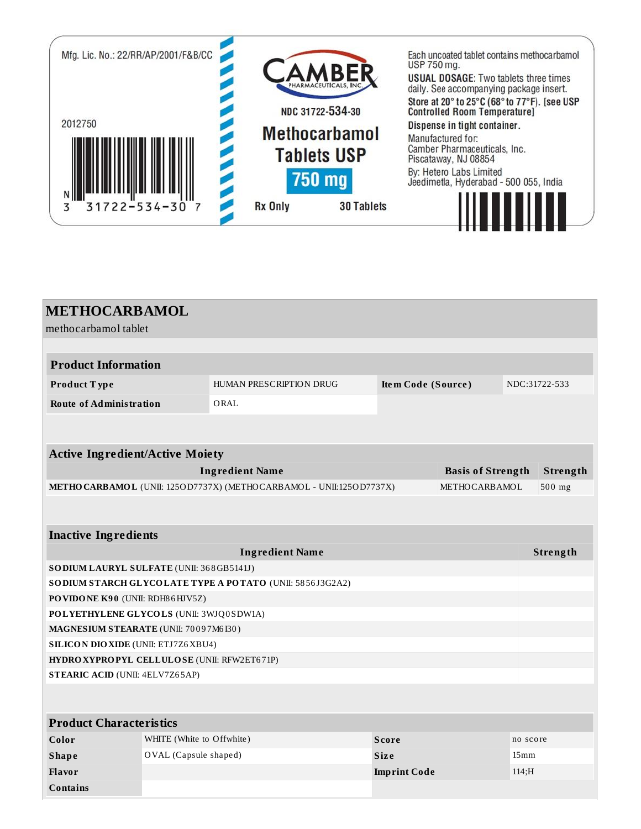

| <b>METHOCARBAMOL</b><br>methocarbamol tablet              |                                                                     |                     |                          |                  |               |
|-----------------------------------------------------------|---------------------------------------------------------------------|---------------------|--------------------------|------------------|---------------|
|                                                           |                                                                     |                     |                          |                  |               |
| <b>Product Information</b>                                |                                                                     |                     |                          |                  |               |
| Product Type                                              | HUMAN PRESCRIPTION DRUG                                             | Item Code (Source)  |                          |                  | NDC:31722-533 |
| <b>Route of Administration</b>                            | ORAL                                                                |                     |                          |                  |               |
|                                                           |                                                                     |                     |                          |                  |               |
|                                                           |                                                                     |                     |                          |                  |               |
| <b>Active Ingredient/Active Moiety</b>                    |                                                                     |                     |                          |                  |               |
|                                                           | <b>Ingredient Name</b>                                              |                     | <b>Basis of Strength</b> |                  | Strength      |
|                                                           | METHO CARBAMOL (UNII: 1250D7737X) (METHOCARBAMOL - UNII:1250D7737X) |                     | METHOCARBAMOL            |                  | 500 mg        |
|                                                           |                                                                     |                     |                          |                  |               |
| <b>Inactive Ingredients</b>                               |                                                                     |                     |                          |                  |               |
|                                                           | <b>Ingredient Name</b>                                              |                     |                          |                  | Strength      |
| SODIUM LAURYL SULFATE (UNII: 368GB5141J)                  |                                                                     |                     |                          |                  |               |
| SO DIUM STARCH GLYCOLATE TYPE A POTATO (UNII: 5856J3G2A2) |                                                                     |                     |                          |                  |               |
| PO VIDONE K90 (UNII: RDH86HJV5Z)                          |                                                                     |                     |                          |                  |               |
|                                                           | POLYETHYLENE GLYCOLS (UNII: 3WJQ0SDW1A)                             |                     |                          |                  |               |
| MAGNESIUM STEARATE (UNII: 70097M6I30)                     |                                                                     |                     |                          |                  |               |
| <b>SILICON DIO XIDE (UNII: ETJ7Z6 XBU4)</b>               |                                                                     |                     |                          |                  |               |
| HYDROXYPROPYL CELLULOSE (UNII: RFW2ET671P)                |                                                                     |                     |                          |                  |               |
| <b>STEARIC ACID (UNII: 4ELV7Z65AP)</b>                    |                                                                     |                     |                          |                  |               |
|                                                           |                                                                     |                     |                          |                  |               |
| <b>Product Characteristics</b>                            |                                                                     |                     |                          |                  |               |
| Color<br>WHITE (White to Offwhite)                        |                                                                     | <b>Score</b>        |                          | no score         |               |
| OVAL (Capsule shaped)<br><b>Shape</b>                     |                                                                     | <b>Size</b>         |                          | 15 <sub>mm</sub> |               |
| Flavor                                                    |                                                                     | <b>Imprint Code</b> |                          | 114; H           |               |

**Contains**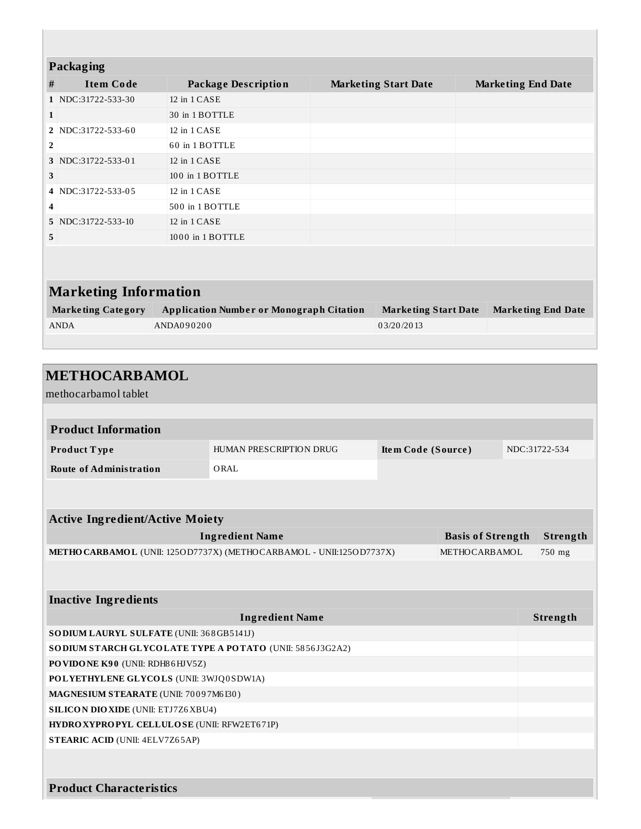|                | Packaging                    |                                                 |  |                             |                           |  |
|----------------|------------------------------|-------------------------------------------------|--|-----------------------------|---------------------------|--|
| #              | <b>Item Code</b>             | <b>Package Description</b>                      |  | <b>Marketing Start Date</b> | <b>Marketing End Date</b> |  |
|                | 1 NDC:31722-533-30           | 12 in 1 CASE                                    |  |                             |                           |  |
| $\mathbf{1}$   |                              | 30 in 1 BOTTLE                                  |  |                             |                           |  |
|                | 2 NDC:31722-533-60           | 12 in 1 CASE                                    |  |                             |                           |  |
| $\overline{2}$ |                              | 60 in 1 BOTTLE                                  |  |                             |                           |  |
|                | 3 NDC:31722-533-01           | 12 in 1 CASE                                    |  |                             |                           |  |
| 3              |                              | 100 in 1 BOTTLE                                 |  |                             |                           |  |
| $\overline{4}$ | NDC:31722-533-05             | 12 in 1 CASE                                    |  |                             |                           |  |
| 4              |                              | 500 in 1 BOTTLE                                 |  |                             |                           |  |
|                | 5 NDC:31722-533-10           | 12 in 1 CASE                                    |  |                             |                           |  |
| 5              |                              | 1000 in 1 BOTTLE                                |  |                             |                           |  |
|                |                              |                                                 |  |                             |                           |  |
|                |                              |                                                 |  |                             |                           |  |
|                | <b>Marketing Information</b> |                                                 |  |                             |                           |  |
|                | <b>Marketing Category</b>    | <b>Application Number or Monograph Citation</b> |  | <b>Marketing Start Date</b> | <b>Marketing End Date</b> |  |
|                | <b>ANDA</b>                  | ANDA090200                                      |  | 03/20/2013                  |                           |  |

| <b>METHOCARBAMOL</b>                                     |                                                                     |                    |                          |  |                 |
|----------------------------------------------------------|---------------------------------------------------------------------|--------------------|--------------------------|--|-----------------|
| methocarbamol tablet                                     |                                                                     |                    |                          |  |                 |
|                                                          |                                                                     |                    |                          |  |                 |
| <b>Product Information</b>                               |                                                                     |                    |                          |  |                 |
| Product Type                                             | HUMAN PRESCRIPTION DRUG                                             | Item Code (Source) |                          |  | NDC:31722-534   |
| <b>Route of Administration</b>                           | ORAL                                                                |                    |                          |  |                 |
|                                                          |                                                                     |                    |                          |  |                 |
|                                                          |                                                                     |                    |                          |  |                 |
| <b>Active Ingredient/Active Moiety</b>                   |                                                                     |                    |                          |  |                 |
|                                                          | <b>Ingredient Name</b>                                              |                    | <b>Basis of Strength</b> |  | Strength        |
|                                                          | METHO CARBAMOL (UNII: 1250D7737X) (METHOCARBAMOL - UNII:1250D7737X) |                    | METHOCARBAMOL            |  | 750 mg          |
|                                                          |                                                                     |                    |                          |  |                 |
|                                                          |                                                                     |                    |                          |  |                 |
| <b>Inactive Ingredients</b>                              |                                                                     |                    |                          |  |                 |
|                                                          | <b>Ingredient Name</b>                                              |                    |                          |  | <b>Strength</b> |
| SO DIUM LAURYL SULFATE (UNII: 368GB5141J)                |                                                                     |                    |                          |  |                 |
| SODIUM STARCH GLYCOLATE TYPE A POTATO (UNII: 5856J3G2A2) |                                                                     |                    |                          |  |                 |
| PO VIDONE K90 (UNII: RDH86HJV5Z)                         |                                                                     |                    |                          |  |                 |
| POLYETHYLENE GLYCOLS (UNII: 3WJQ0SDW1A)                  |                                                                     |                    |                          |  |                 |
| MAGNESIUM STEARATE (UNII: 70097M6I30)                    |                                                                     |                    |                          |  |                 |
| <b>SILICON DIO XIDE (UNII: ETJ7Z6 XBU4)</b>              |                                                                     |                    |                          |  |                 |
| HYDROXYPROPYL CELLULOSE (UNII: RFW2ET671P)               |                                                                     |                    |                          |  |                 |
| <b>STEARIC ACID (UNII: 4ELV7Z65AP)</b>                   |                                                                     |                    |                          |  |                 |
|                                                          |                                                                     |                    |                          |  |                 |
|                                                          |                                                                     |                    |                          |  |                 |
| <b>Product Characteristics</b>                           |                                                                     |                    |                          |  |                 |